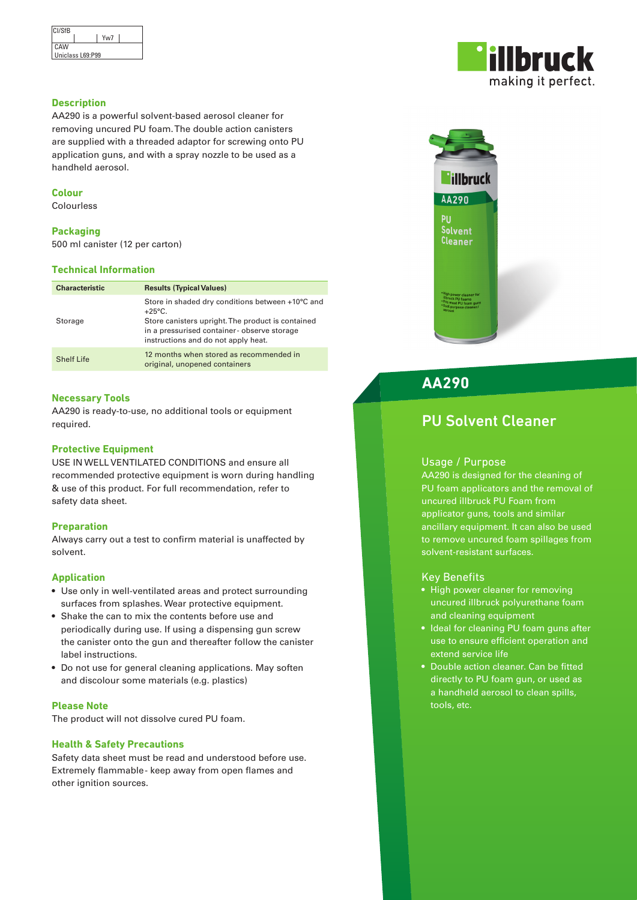| CI/SfB           |     |  |
|------------------|-----|--|
|                  | Yw7 |  |
| CAW              |     |  |
| Uniclass L69:P99 |     |  |

# **Description**

AA290 is a powerful solvent-based aerosol cleaner for removing uncured PU foam. The double action canisters are supplied with a threaded adaptor for screwing onto PU application guns, and with a spray nozzle to be used as a handheld aerosol.

#### **Colour**

Colourless

#### **Packaging**

500 ml canister (12 per carton)

#### **Technical Information**

| <b>Characteristic</b> | <b>Results (Typical Values)</b>                                                                                                                                                                                |  |
|-----------------------|----------------------------------------------------------------------------------------------------------------------------------------------------------------------------------------------------------------|--|
| Storage               | Store in shaded dry conditions between +10°C and<br>$+25^{\circ}$ C.<br>Store canisters upright. The product is contained<br>in a pressurised container-observe storage<br>instructions and do not apply heat. |  |
| <b>Shelf Life</b>     | 12 months when stored as recommended in<br>original, unopened containers                                                                                                                                       |  |

#### **Necessary Tools**

AA290 is ready-to-use, no additional tools or equipment required.

# **Protective Equipment**

USE IN WELL VENTILATED CONDITIONS and ensure all recommended protective equipment is worn during handling & use of this product. For full recommendation, refer to safety data sheet.

#### **Preparation**

Always carry out a test to confirm material is unaffected by solvent.

#### **Application**

- Use only in well-ventilated areas and protect surrounding surfaces from splashes. Wear protective equipment.
- Shake the can to mix the contents before use and periodically during use. If using a dispensing gun screw the canister onto the gun and thereafter follow the canister label instructions.
- Do not use for general cleaning applications. May soften and discolour some materials (e.g. plastics)

#### **Please Note**

The product will not dissolve cured PU foam.

# **Health & Safety Precautions**

Safety data sheet must be read and understood before use. Extremely flammable - keep away from open flames and other ignition sources.





# **AA290**

# PU Solvent Cleaner

# Usage / Purpose

AA290 is designed for the cleaning of PU foam applicators and the removal of uncured illbruck PU Foam from applicator guns, tools and similar ancillary equipment. It can also be used to remove uncured foam spillages from solvent-resistant surfaces.

#### Key Benefits

- High power cleaner for removing uncured illbruck polyurethane foam and cleaning equipment
- Ideal for cleaning PU foam guns after use to ensure efficient operation and extend service life
- Double action cleaner. Can be fitted directly to PU foam gun, or used as a handheld aerosol to clean spills, tools, etc.